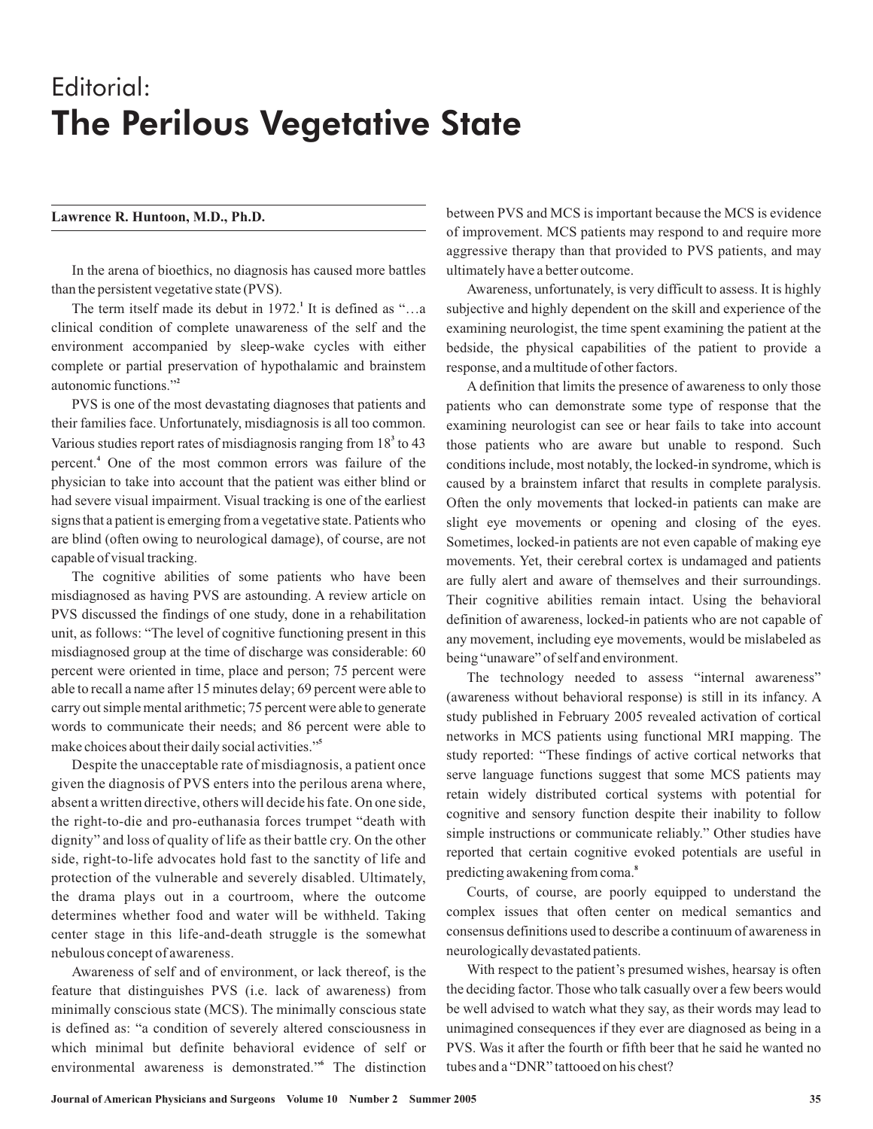## Editorial: The Perilous Vegetative State

## **Lawrence R. Huntoon, M.D., Ph.D.**

In the arena of bioethics, no diagnosis has caused more battles than the persistent vegetative state (PVS).

The term itself made its debut in 1972.<sup>1</sup> It is defined as "...a clinical condition of complete unawareness of the self and the environment accompanied by sleep-wake cycles with either complete or partial preservation of hypothalamic and brainstem autonomic functions." **2**

PVS is one of the most devastating diagnoses that patients and their families face. Unfortunately, misdiagnosis is all too common. Various studies report rates of misdiagnosis ranging from 18<sup>3</sup> to 43 percent.<sup>4</sup> One of the most common errors was failure of the physician to take into account that the patient was either blind or had severe visual impairment. Visual tracking is one of the earliest signs that a patient is emerging from a vegetative state. Patients who are blind (often owing to neurological damage), of course, are not capable of visual tracking.

The cognitive abilities of some patients who have been misdiagnosed as having PVS are astounding. A review article on PVS discussed the findings of one study, done in a rehabilitation unit, as follows: "The level of cognitive functioning present in this misdiagnosed group at the time of discharge was considerable: 60 percent were oriented in time, place and person; 75 percent were able to recall a name after 15 minutes delay; 69 percent were able to carry out simple mental arithmetic; 75 percent were able to generate words to communicate their needs; and 86 percent were able to make choices about their daily social activities." **5**

Despite the unacceptable rate of misdiagnosis, a patient once given the diagnosis of PVS enters into the perilous arena where, absent a written directive, others will decide his fate. On one side, the right-to-die and pro-euthanasia forces trumpet "death with dignity" and loss of quality of life as their battle cry. On the other side, right-to-life advocates hold fast to the sanctity of life and protection of the vulnerable and severely disabled. Ultimately, the drama plays out in a courtroom, where the outcome determines whether food and water will be withheld. Taking center stage in this life-and-death struggle is the somewhat nebulous concept of awareness.

Awareness of self and of environment, or lack thereof, is the feature that distinguishes PVS (i.e. lack of awareness) from minimally conscious state (MCS). The minimally conscious state is defined as: "a condition of severely altered consciousness in which minimal but definite behavioral evidence of self or environmental awareness is demonstrated."<sup>6</sup> The distinction

between PVS and MCS is important because the MCS is evidence of improvement. MCS patients may respond to and require more aggressive therapy than that provided to PVS patients, and may ultimately have a better outcome.

Awareness, unfortunately, is very difficult to assess. It is highly subjective and highly dependent on the skill and experience of the examining neurologist, the time spent examining the patient at the bedside, the physical capabilities of the patient to provide a response, and a multitude of other factors.

A definition that limits the presence of awareness to only those patients who can demonstrate some type of response that the examining neurologist can see or hear fails to take into account those patients who are aware but unable to respond. Such conditions include, most notably, the locked-in syndrome, which is caused by a brainstem infarct that results in complete paralysis. Often the only movements that locked-in patients can make are slight eye movements or opening and closing of the eyes. Sometimes, locked-in patients are not even capable of making eye movements. Yet, their cerebral cortex is undamaged and patients are fully alert and aware of themselves and their surroundings. Their cognitive abilities remain intact. Using the behavioral definition of awareness, locked-in patients who are not capable of any movement, including eye movements, would be mislabeled as being "unaware" of self and environment.

The technology needed to assess "internal awareness" (awareness without behavioral response) is still in its infancy. A study published in February 2005 revealed activation of cortical networks in MCS patients using functional MRI mapping. The study reported: "These findings of active cortical networks that serve language functions suggest that some MCS patients may retain widely distributed cortical systems with potential for cognitive and sensory function despite their inability to follow simple instructions or communicate reliably." Other studies have reported that certain cognitive evoked potentials are useful in predicting awakening from coma. **8**

Courts, of course, are poorly equipped to understand the complex issues that often center on medical semantics and consensus definitions used to describe a continuum of awareness in neurologically devastated patients.

With respect to the patient's presumed wishes, hearsay is often the deciding factor. Those who talk casually over a few beers would be well advised to watch what they say, as their words may lead to unimagined consequences if they ever are diagnosed as being in a PVS. Was it after the fourth or fifth beer that he said he wanted no tubes and a "DNR" tattooed on his chest?